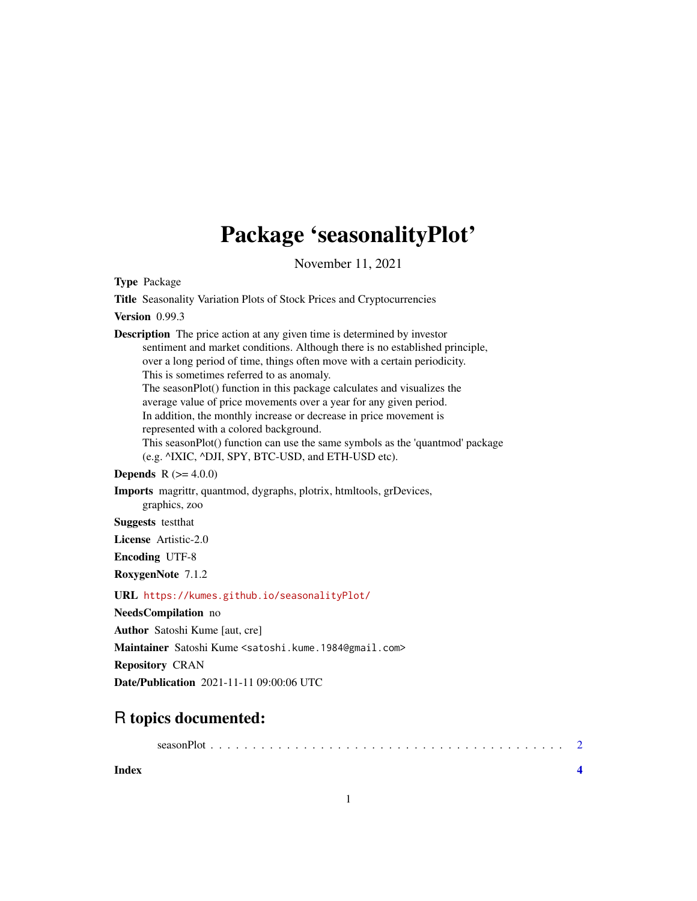# Package 'seasonalityPlot'

November 11, 2021

Type Package

Title Seasonality Variation Plots of Stock Prices and Cryptocurrencies

Version 0.99.3

Description The price action at any given time is determined by investor sentiment and market conditions. Although there is no established principle, over a long period of time, things often move with a certain periodicity. This is sometimes referred to as anomaly. The seasonPlot() function in this package calculates and visualizes the average value of price movements over a year for any given period. In addition, the monthly increase or decrease in price movement is represented with a colored background. This seasonPlot() function can use the same symbols as the 'quantmod' package (e.g. ^IXIC, ^DJI, SPY, BTC-USD, and ETH-USD etc). **Depends** R  $(>= 4.0.0)$ Imports magrittr, quantmod, dygraphs, plotrix, htmltools, grDevices, graphics, zoo Suggests testthat License Artistic-2.0 Encoding UTF-8 RoxygenNote 7.1.2 URL <https://kumes.github.io/seasonalityPlot/> NeedsCompilation no Author Satoshi Kume [aut, cre]

Maintainer Satoshi Kume <satoshi.kume.1984@gmail.com>

Repository CRAN

Date/Publication 2021-11-11 09:00:06 UTC

## R topics documented:

**Index** [4](#page-3-0)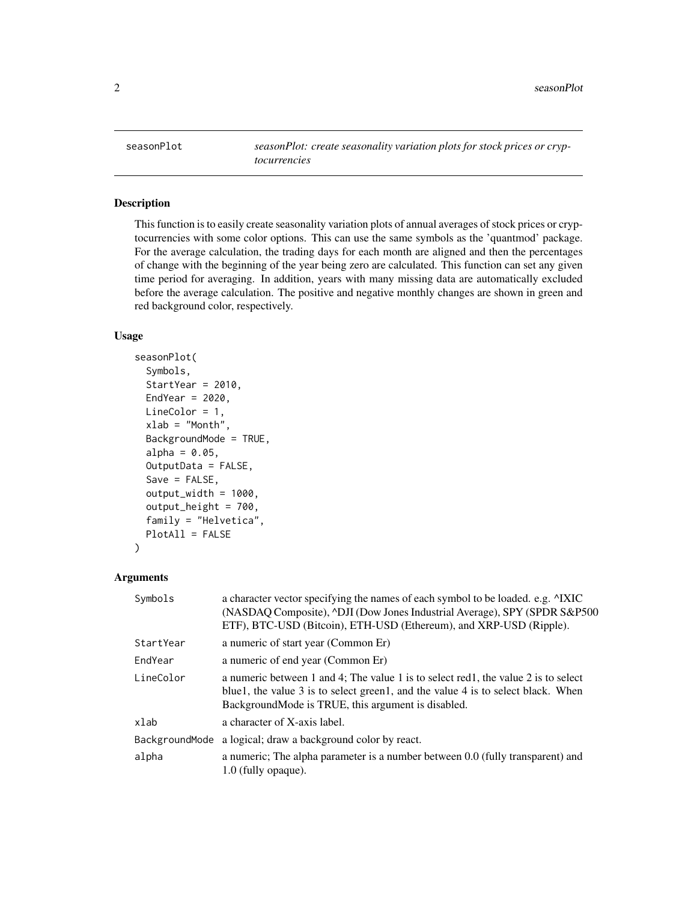<span id="page-1-0"></span>seasonPlot *seasonPlot: create seasonality variation plots for stock prices or cryptocurrencies*

#### Description

This function is to easily create seasonality variation plots of annual averages of stock prices or cryptocurrencies with some color options. This can use the same symbols as the 'quantmod' package. For the average calculation, the trading days for each month are aligned and then the percentages of change with the beginning of the year being zero are calculated. This function can set any given time period for averaging. In addition, years with many missing data are automatically excluded before the average calculation. The positive and negative monthly changes are shown in green and red background color, respectively.

#### Usage

```
seasonPlot(
  Symbols,
  StartYear = 2010,
  EndYear = 2020,
 LineColor = 1,
  xlab = "Month",
  BackgroundMode = TRUE,
  alpha = 0.05,
  OutputData = FALSE,
  Save = FALSE,output_width = 1000,
  output_height = 700,
  family = "Helvetica",
 PlotAll = FALSE
)
```
#### Arguments

| Symbols   | a character vector specifying the names of each symbol to be loaded. e.g. $\triangle$ IXIC<br>(NASDAQ Composite), ^DJI (Dow Jones Industrial Average), SPY (SPDR S&P500)<br>ETF), BTC-USD (Bitcoin), ETH-USD (Ethereum), and XRP-USD (Ripple). |
|-----------|------------------------------------------------------------------------------------------------------------------------------------------------------------------------------------------------------------------------------------------------|
| StartYear | a numeric of start year (Common Er)                                                                                                                                                                                                            |
| EndYear   | a numeric of end year (Common Er)                                                                                                                                                                                                              |
| LineColor | a numeric between 1 and 4; The value 1 is to select red1, the value 2 is to select<br>blue1, the value 3 is to select green1, and the value 4 is to select black. When<br>BackgroundMode is TRUE, this argument is disabled.                   |
| xlab      | a character of X-axis label.                                                                                                                                                                                                                   |
|           | BackgroundMode a logical; draw a background color by react.                                                                                                                                                                                    |
| alpha     | a numeric; The alpha parameter is a number between 0.0 (fully transparent) and<br>$1.0$ (fully opaque).                                                                                                                                        |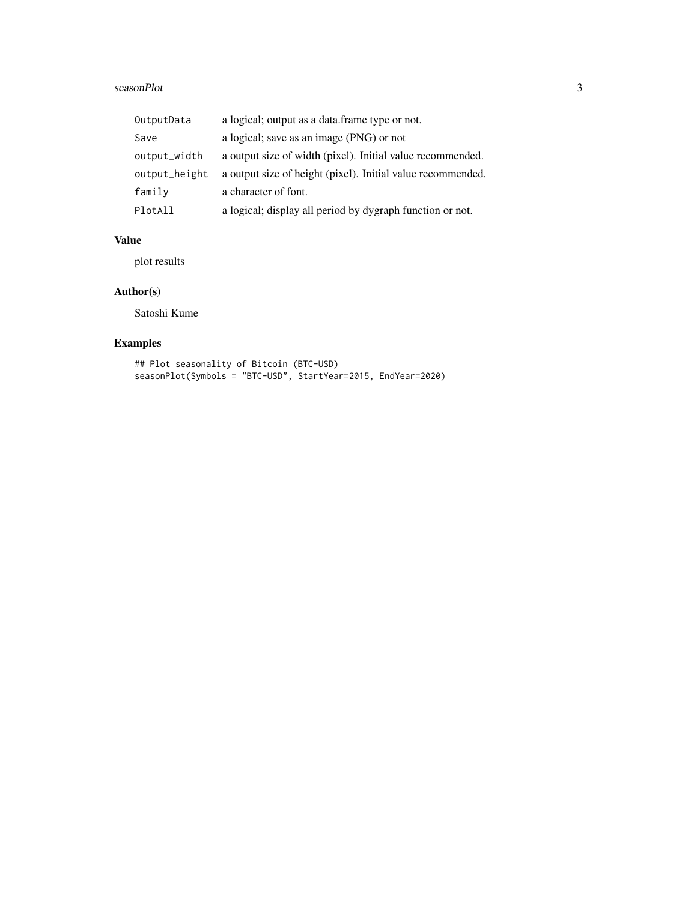#### seasonPlot 3

| OutputData    | a logical; output as a data.frame type or not.              |
|---------------|-------------------------------------------------------------|
| Save          | a logical; save as an image (PNG) or not                    |
| output_width  | a output size of width (pixel). Initial value recommended.  |
| output_height | a output size of height (pixel). Initial value recommended. |
| family        | a character of font.                                        |
| PlotAll       | a logical; display all period by dygraph function or not.   |

#### Value

plot results

#### Author(s)

Satoshi Kume

### Examples

## Plot seasonality of Bitcoin (BTC-USD) seasonPlot(Symbols = "BTC-USD", StartYear=2015, EndYear=2020)